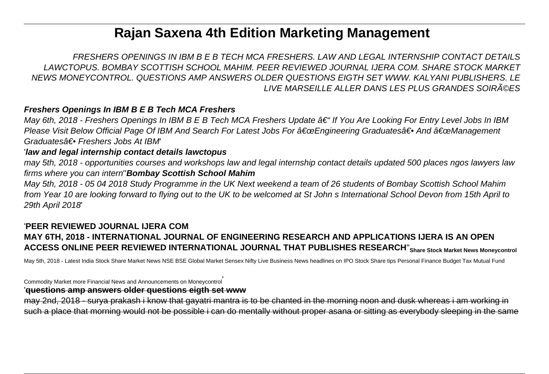# **Rajan Saxena 4th Edition Marketing Management**

FRESHERS OPENINGS IN IBM B E B TECH MCA FRESHERS. LAW AND LEGAL INTERNSHIP CONTACT DETAILS LAWCTOPUS. BOMBAY SCOTTISH SCHOOL MAHIM. PEER REVIEWED JOURNAL IJERA COM. SHARE STOCK MARKET NEWS MONEYCONTROL. QUESTIONS AMP ANSWERS OLDER QUESTIONS EIGTH SET WWW. KALYANI PUBLISHERS. LE LIVE MARSEILLE ALLER DANS LES PLUS GRANDES SOIRéES

### **Freshers Openings In IBM B E B Tech MCA Freshers**

May 6th, 2018 - Freshers Openings In IBM B E B Tech MCA Freshers Update  $\hat{a}\in$  "If You Are Looking For Entry Level Jobs In IBM Please Visit Below Official Page Of IBM And Search For Latest Jobs For a€œEngineering Graduatesa e And a€œManagement Graduates†• Freshers Jobs At IBM

#### '**law and legal internship contact details lawctopus**

may 5th, 2018 - opportunities courses and workshops law and legal internship contact details updated 500 places ngos lawyers law firms where you can intern''**Bombay Scottish School Mahim**

May 5th, 2018 - 05 04 2018 Study Programme in the UK Next weekend a team of 26 students of Bombay Scottish School Mahim from Year 10 are looking forward to flying out to the UK to be welcomed at St John s International School Devon from 15th April to 29th April 2018'

### '**PEER REVIEWED JOURNAL IJERA COM MAY 6TH, 2018 - INTERNATIONAL JOURNAL OF ENGINEERING RESEARCH AND APPLICATIONS IJERA IS AN OPEN ACCESS ONLINE PEER REVIEWED INTERNATIONAL JOURNAL THAT PUBLISHES RESEARCH**''**Share Stock Market News Moneycontrol**

May 5th, 2018 - Latest India Stock Share Market News NSE BSE Global Market Sensex Nifty Live Business News headlines on IPO Stock Share tips Personal Finance Budget Tax Mutual Fund

Commodity Market more Financial News and Announcements on Moneycontrol'

#### '**questions amp answers older questions eigth set www**

may 2nd, 2018 - surya prakash i know that gayatri mantra is to be chanted in the morning noon and dusk whereas i am working in such a place that morning would not be possible i can do mentally without proper asana or sitting as everybody sleeping in the